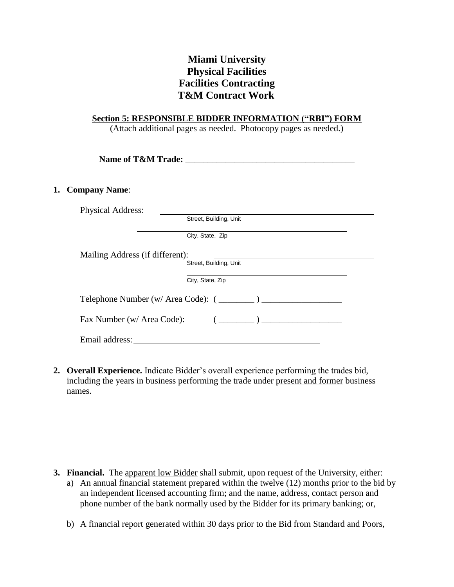## **Miami University Physical Facilities Facilities Contracting T&M Contract Work**

## **Section 5: RESPONSIBLE BIDDER INFORMATION ("RBI") FORM**

(Attach additional pages as needed. Photocopy pages as needed.)

| Name of T&M Trade:                                                                                           |  |
|--------------------------------------------------------------------------------------------------------------|--|
|                                                                                                              |  |
| <b>Physical Address:</b>                                                                                     |  |
| Street, Building, Unit                                                                                       |  |
| City, State, Zip                                                                                             |  |
| Mailing Address (if different):                                                                              |  |
| Street, Building, Unit                                                                                       |  |
| City, State, Zip                                                                                             |  |
|                                                                                                              |  |
| $\left(\begin{array}{ccc} \begin{array}{ccc} \end{array} & \end{array}\right)$<br>Fax Number (w/ Area Code): |  |
|                                                                                                              |  |

**2. Overall Experience.** Indicate Bidder's overall experience performing the trades bid, including the years in business performing the trade under present and former business names.

- **3. Financial.** The apparent low Bidder shall submit, upon request of the University, either:
	- a) An annual financial statement prepared within the twelve (12) months prior to the bid by an independent licensed accounting firm; and the name, address, contact person and phone number of the bank normally used by the Bidder for its primary banking; or,
	- b) A financial report generated within 30 days prior to the Bid from Standard and Poors,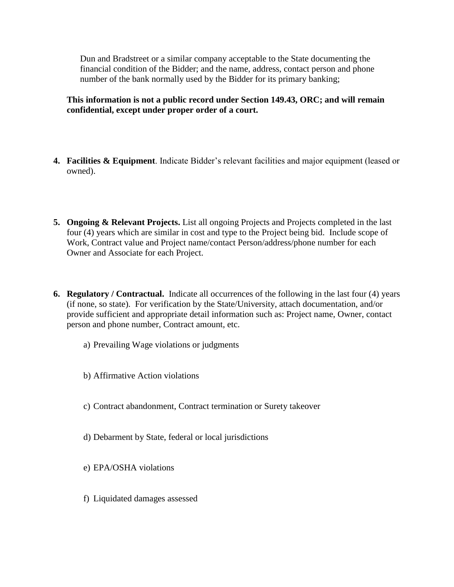Dun and Bradstreet or a similar company acceptable to the State documenting the financial condition of the Bidder; and the name, address, contact person and phone number of the bank normally used by the Bidder for its primary banking;

**This information is not a public record under Section 149.43, ORC; and will remain confidential, except under proper order of a court.**

- **4. Facilities & Equipment**. Indicate Bidder's relevant facilities and major equipment (leased or owned).
- **5. Ongoing & Relevant Projects.** List all ongoing Projects and Projects completed in the last four (4) years which are similar in cost and type to the Project being bid. Include scope of Work, Contract value and Project name/contact Person/address/phone number for each Owner and Associate for each Project.
- **6. Regulatory / Contractual.** Indicate all occurrences of the following in the last four (4) years (if none, so state). For verification by the State/University, attach documentation, and/or provide sufficient and appropriate detail information such as: Project name, Owner, contact person and phone number, Contract amount, etc.
	- a) Prevailing Wage violations or judgments
	- b) Affirmative Action violations
	- c) Contract abandonment, Contract termination or Surety takeover
	- d) Debarment by State, federal or local jurisdictions
	- e) EPA/OSHA violations
	- f) Liquidated damages assessed